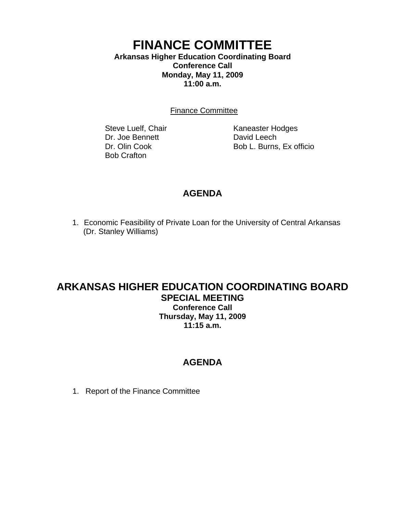### **FINANCE COMMITTEE Arkansas Higher Education Coordinating Board Conference Call Monday, May 11, 2009 11:00 a.m.**

Finance Committee

Dr. Joe Bennett David Leech Bob Crafton

Steve Luelf, Chair Kaneaster Hodges Dr. Olin Cook Bob L. Burns, Ex officio

## **AGENDA**

1. Economic Feasibility of Private Loan for the University of Central Arkansas (Dr. Stanley Williams)

# **ARKANSAS HIGHER EDUCATION COORDINATING BOARD SPECIAL MEETING Conference Call**

**Thursday, May 11, 2009 11:15 a.m.**

# **AGENDA**

1. Report of the Finance Committee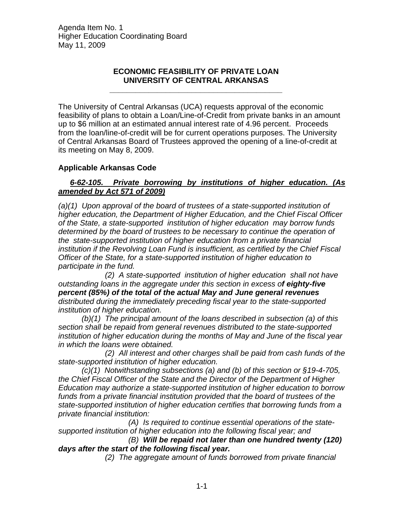Agenda Item No. 1 Higher Education Coordinating Board May 11, 2009

#### **ECONOMIC FEASIBILITY OF PRIVATE LOAN UNIVERSITY OF CENTRAL ARKANSAS**

**\_\_\_\_\_\_\_\_\_\_\_\_\_\_\_\_\_\_\_\_\_\_\_\_\_\_\_\_\_\_\_\_\_\_\_\_\_\_\_\_** 

The University of Central Arkansas (UCA) requests approval of the economic feasibility of plans to obtain a Loan/Line-of-Credit from private banks in an amount up to \$6 million at an estimated annual interest rate of 4.96 percent. Proceeds from the loan/line-of-credit will be for current operations purposes. The University of Central Arkansas Board of Trustees approved the opening of a line-of-credit at its meeting on May 8, 2009.

#### **Applicable Arkansas Code**

#### *6-62-105. Private borrowing by institutions of higher education. (As amended by Act 571 of 2009)*

*(a)(1) Upon approval of the board of trustees of a state-supported institution of higher education, the Department of Higher Education, and the Chief Fiscal Officer of the State, a state-supported institution of higher education may borrow funds determined by the board of trustees to be necessary to continue the operation of the state-supported institution of higher education from a private financial institution if the Revolving Loan Fund is insufficient, as certified by the Chief Fiscal Officer of the State, for a state-supported institution of higher education to participate in the fund.* 

 *(2) A state-supported institution of higher education shall not have outstanding loans in the aggregate under this section in excess of eighty-five percent (85%) of the total of the actual May and June general revenues distributed during the immediately preceding fiscal year to the state-supported institution of higher education.* 

 *(b)(1) The principal amount of the loans described in subsection (a) of this section shall be repaid from general revenues distributed to the state-supported institution of higher education during the months of May and June of the fiscal year in which the loans were obtained.* 

 *(2) All interest and other charges shall be paid from cash funds of the state-supported institution of higher education.*

 *(c)(1) Notwithstanding subsections (a) and (b) of this section or §19-4-705, the Chief Fiscal Officer of the State and the Director of the Department of Higher Education may authorize a state-supported institution of higher education to borrow funds from a private financial institution provided that the board of trustees of the state-supported institution of higher education certifies that borrowing funds from a private financial institution:* 

 *(A) Is required to continue essential operations of the statesupported institution of higher education into the following fiscal year; and* 

 *(B) Will be repaid not later than one hundred twenty (120) days after the start of the following fiscal year.* 

 *(2) The aggregate amount of funds borrowed from private financial*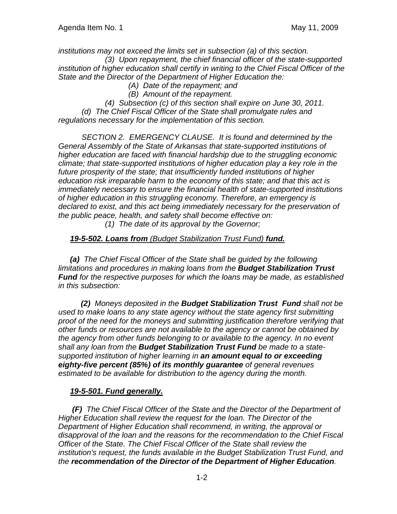*institutions may not exceed the limits set in subsection (a) of this section.* 

 *(3) Upon repayment, the chief financial officer of the state-supported institution of higher education shall certify in writing to the Chief Fiscal Officer of the State and the Director of the Department of Higher Education the:* 

- *(A) Date of the repayment; and*
- *(B) Amount of the repayment.*
- *(4) Subsection (c) of this section shall expire on June 30, 2011.*

 *(d) The Chief Fiscal Officer of the State shall promulgate rules and regulations necessary for the implementation of this section.* 

 *SECTION 2. EMERGENCY CLAUSE. It is found and determined by the General Assembly of the State of Arkansas that state-supported institutions of higher education are faced with financial hardship due to the struggling economic climate; that state-supported institutions of higher education play a key role in the future prosperity of the state; that insufficiently funded institutions of higher education risk irreparable harm to the economy of this state; and that this act is immediately necessary to ensure the financial health of state-supported institutions of higher education in this struggling economy. Therefore, an emergency is declared to exist, and this act being immediately necessary for the preservation of the public peace, health, and safety shall become effective on:* 

 *(1) The date of its approval by the Governor;* 

#### *19-5-502. Loans from (Budget Stabilization Trust Fund) fund.*

*(a) The Chief Fiscal Officer of the State shall be guided by the following limitations and procedures in making loans from the Budget Stabilization Trust Fund for the respective purposes for which the loans may be made, as established in this subsection:* 

 *(2) Moneys deposited in the Budget Stabilization Trust Fund shall not be used to make loans to any state agency without the state agency first submitting proof of the need for the moneys and submitting justification therefore verifying that other funds or resources are not available to the agency or cannot be obtained by the agency from other funds belonging to or available to the agency. In no event shall any loan from the Budget Stabilization Trust Fund be made to a statesupported institution of higher learning in an amount equal to or exceeding eighty-five percent (85%) of its monthly guarantee of general revenues estimated to be available for distribution to the agency during the month.* 

#### *19-5-501. Fund generally.*

*(F) The Chief Fiscal Officer of the State and the Director of the Department of Higher Education shall review the request for the loan. The Director of the Department of Higher Education shall recommend, in writing, the approval or disapproval of the loan and the reasons for the recommendation to the Chief Fiscal Officer of the State. The Chief Fiscal Officer of the State shall review the institution's request, the funds available in the Budget Stabilization Trust Fund, and the recommendation of the Director of the Department of Higher Education.*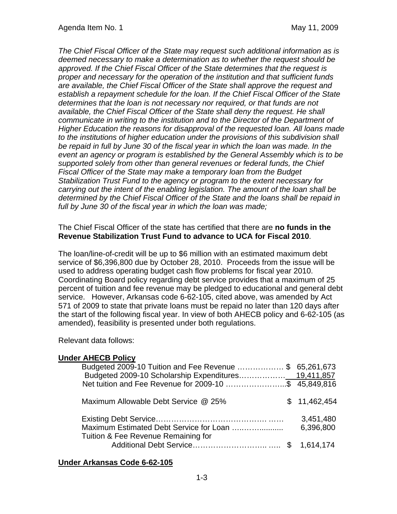*The Chief Fiscal Officer of the State may request such additional information as is deemed necessary to make a determination as to whether the request should be approved. If the Chief Fiscal Officer of the State determines that the request is proper and necessary for the operation of the institution and that sufficient funds are available, the Chief Fiscal Officer of the State shall approve the request and establish a repayment schedule for the loan. If the Chief Fiscal Officer of the State determines that the loan is not necessary nor required, or that funds are not available, the Chief Fiscal Officer of the State shall deny the request. He shall communicate in writing to the institution and to the Director of the Department of Higher Education the reasons for disapproval of the requested loan. All loans made to the institutions of higher education under the provisions of this subdivision shall be repaid in full by June 30 of the fiscal year in which the loan was made. In the event an agency or program is established by the General Assembly which is to be supported solely from other than general revenues or federal funds, the Chief Fiscal Officer of the State may make a temporary loan from the Budget Stabilization Trust Fund to the agency or program to the extent necessary for carrying out the intent of the enabling legislation. The amount of the loan shall be determined by the Chief Fiscal Officer of the State and the loans shall be repaid in full by June 30 of the fiscal year in which the loan was made;*

#### The Chief Fiscal Officer of the state has certified that there are **no funds in the Revenue Stabilization Trust Fund to advance to UCA for Fiscal 2010**.

The loan/line-of-credit will be up to \$6 million with an estimated maximum debt service of \$6,396,800 due by October 28, 2010. Proceeds from the issue will be used to address operating budget cash flow problems for fiscal year 2010. Coordinating Board policy regarding debt service provides that a maximum of 25 percent of tuition and fee revenue may be pledged to educational and general debt service. However, Arkansas code 6-62-105, cited above, was amended by Act 571 of 2009 to state that private loans must be repaid no later than 120 days after the start of the following fiscal year. In view of both AHECB policy and 6-62-105 (as amended), feasibility is presented under both regulations.

Relevant data follows:

### **Under AHECB Policy**

| Budgeted 2009-10 Tuition and Fee Revenue \$ 65,261,673<br>Net tuition and Fee Revenue for 2009-10 \$ 45,849,816 |                        |
|-----------------------------------------------------------------------------------------------------------------|------------------------|
| Maximum Allowable Debt Service @ 25%                                                                            | \$11,462,454           |
| Tuition & Fee Revenue Remaining for                                                                             | 3,451,480<br>6,396,800 |
|                                                                                                                 |                        |

#### **Under Arkansas Code 6-62-105**